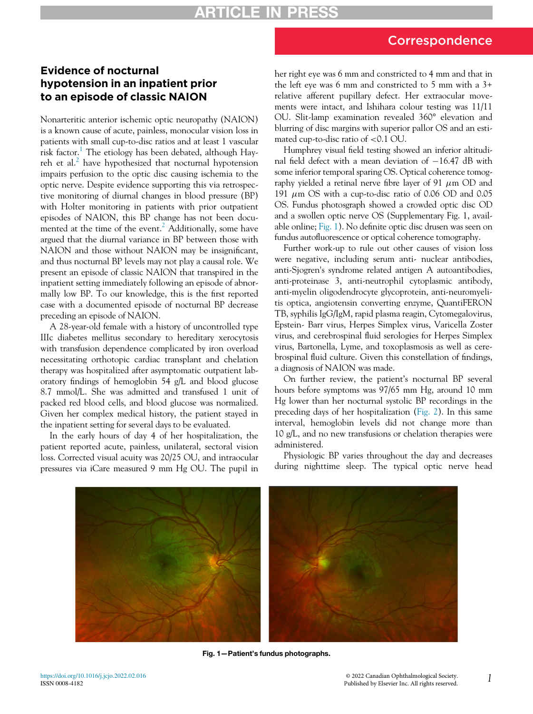## Correspondence

## Evidence of nocturnal hypotension in an inpatient prior to an episode of classic NAION

Nonarteritic anterior ischemic optic neuropathy (NAION) is a known cause of acute, painless, monocular vision loss in patients with small cup-to-disc ratios and at least 1 vascular risk factor.<sup>1</sup> The etiology has been debated, although Hayreh et al. $^2$  have hypothesized that nocturnal hypotension impairs perfusion to the optic disc causing ischemia to the optic nerve. Despite evidence supporting this via retrospective monitoring of diurnal changes in blood pressure (BP) with Holter monitoring in patients with prior outpatient episodes of NAION, this BP change has not been docu-mented at the time of the event.<sup>[2](#page-2-1)</sup> Additionally, some have argued that the diurnal variance in BP between those with NAION and those without NAION may be insignificant, and thus nocturnal BP levels may not play a causal role. We present an episode of classic NAION that transpired in the inpatient setting immediately following an episode of abnormally low BP. To our knowledge, this is the first reported case with a documented episode of nocturnal BP decrease preceding an episode of NAION.

A 28-year-old female with a history of uncontrolled type IIIc diabetes mellitus secondary to hereditary xerocytosis with transfusion dependence complicated by iron overload necessitating orthotopic cardiac transplant and chelation therapy was hospitalized after asymptomatic outpatient laboratory findings of hemoglobin 54 g/L and blood glucose 8.7 mmol/L. She was admitted and transfused 1 unit of packed red blood cells, and blood glucose was normalized. Given her complex medical history, the patient stayed in the inpatient setting for several days to be evaluated.

<span id="page-0-0"></span>In the early hours of day 4 of her hospitalization, the patient reported acute, painless, unilateral, sectoral vision loss. Corrected visual acuity was 20/25 OU, and intraocular pressures via iCare measured 9 mm Hg OU. The pupil in her right eye was 6 mm and constricted to 4 mm and that in the left eye was 6 mm and constricted to 5 mm with a 3+ relative afferent pupillary defect. Her extraocular movements were intact, and Ishihara colour testing was 11/11 OU. Slit-lamp examination revealed 360° elevation and blurring of disc margins with superior pallor OS and an estimated cup-to-disc ratio of <0.1 OU.

Humphrey visual field testing showed an inferior altitudinal field defect with a mean deviation of  $-16.47$  dB with some inferior temporal sparing OS. Optical coherence tomography yielded a retinal nerve fibre layer of 91  $\mu$ m OD and 191  $\mu$ m OS with a cup-to-disc ratio of 0.06 OD and 0.05 OS. Fundus photosgraph showed a crowded optic disc OD and a swollen optic nerve OS (Supplementary Fig. 1, available online; [Fig. 1](#page-0-0)). No definite optic disc drusen was seen on fundus autofluorescence or optical coherence tomography.

Further work-up to rule out other causes of vision loss were negative, including serum anti- nuclear antibodies, anti-Sjogren's syndrome related antigen A autoantibodies, anti-proteinase 3, anti-neutrophil cytoplasmic antibody, anti-myelin oligodendrocyte glycoprotein, anti-neuromyelitis optica, angiotensin converting enzyme, QuantiFERON TB, syphilis IgG/IgM, rapid plasma reagin, Cytomegalovirus, Epstein- Barr virus, Herpes Simplex virus, Varicella Zoster virus, and cerebrospinal fluid serologies for Herpes Simplex virus, Bartonella, Lyme, and toxoplasmosis as well as cerebrospinal fluid culture. Given this constellation of findings, a diagnosis of NAION was made.

On further review, the patient's nocturnal BP several hours before symptoms was 97/65 mm Hg, around 10 mm Hg lower than her nocturnal systolic BP recordings in the preceding days of her hospitalization ([Fig. 2\)](#page-1-0). In this same interval, hemoglobin levels did not change more than 10 g/L, and no new transfusions or chelation therapies were administered.

Physiologic BP varies throughout the day and decreases during nighttime sleep. The typical optic nerve head



Fig. 1—Patient's fundus photographs.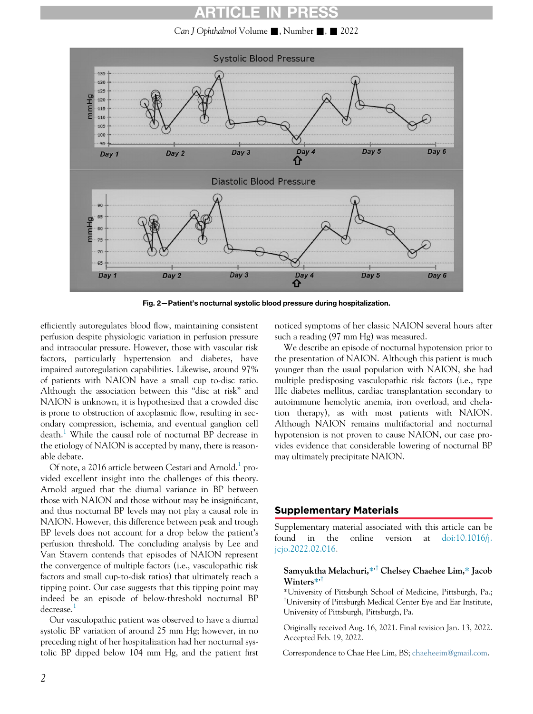## ARTICLE IN

Can J Ophthalmol Volume  $\blacksquare$ , Number  $\blacksquare$ ,  $\blacksquare$  2022

<span id="page-1-0"></span>

Fig. 2—Patient's nocturnal systolic blood pressure during hospitalization.

efficiently autoregulates blood flow, maintaining consistent perfusion despite physiologic variation in perfusion pressure and intraocular pressure. However, those with vascular risk factors, particularly hypertension and diabetes, have impaired autoregulation capabilities. Likewise, around 97% of patients with NAION have a small cup to-disc ratio. Although the association between this "disc at risk" and NAION is unknown, it is hypothesized that a crowded disc is prone to obstruction of axoplasmic flow, resulting in secondary compression, ischemia, and eventual ganglion cell death.<sup>[1](#page-2-0)</sup> While the causal role of nocturnal BP decrease in the etiology of NAION is accepted by many, there is reasonable debate.

Of note, a 20[1](#page-2-0)6 article between Cestari and Arnold.<sup>1</sup> provided excellent insight into the challenges of this theory. Arnold argued that the diurnal variance in BP between those with NAION and those without may be insignificant, and thus nocturnal BP levels may not play a causal role in NAION. However, this difference between peak and trough BP levels does not account for a drop below the patient's perfusion threshold. The concluding analysis by Lee and Van Stavern contends that episodes of NAION represent the convergence of multiple factors (i.e., vasculopathic risk factors and small cup-to-disk ratios) that ultimately reach a tipping point. Our case suggests that this tipping point may indeed be an episode of below-threshold nocturnal BP decrease.<sup>[1](#page-2-0)</sup>

Our vasculopathic patient was observed to have a diurnal systolic BP variation of around 25 mm Hg; however, in no preceding night of her hospitalization had her nocturnal systolic BP dipped below 104 mm Hg, and the patient first noticed symptoms of her classic NAION several hours after such a reading (97 mm Hg) was measured.

We describe an episode of nocturnal hypotension prior to the presentation of NAION. Although this patient is much younger than the usual population with NAION, she had multiple predisposing vasculopathic risk factors (i.e., type IIIc diabetes mellitus, cardiac transplantation secondary to autoimmune hemolytic anemia, iron overload, and chelation therapy), as with most patients with NAION. Although NAION remains multifactorial and nocturnal hypotension is not proven to cause NAION, our case provides evidence that considerable lowering of nocturnal BP may ultimately precipitate NAION.

#### Supplementary Materials

Supplementary material associated with this article can be found in the online version at [doi:10.1016/j.](https://doi.org/10.1016/j.jcjo.2022.02.016) [jcjo.2022.02.016.](https://doi.org/10.1016/j.jcjo.2022.02.016)

#### Samyuktha Melachuri,\*<sup>†</sup> Chelsey Chaehee Lim,\* Jacob Winters $*$ , $\dagger$

\*University of Pittsburgh School of Medicine, Pittsburgh, Pa.; <sup>T</sup>University of Pittsburgh Medical Center Eye and Ear Institute, University of Pittsburgh, Pittsburgh, Pa.

Originally received Aug. 16, 2021. Final revision Jan. 13, 2022. Accepted Feb. 19, 2022.

Correspondence to Chae Hee Lim, BS; [chaeheeim@gmail.com](mailto:chaeheeim@gmail.com).